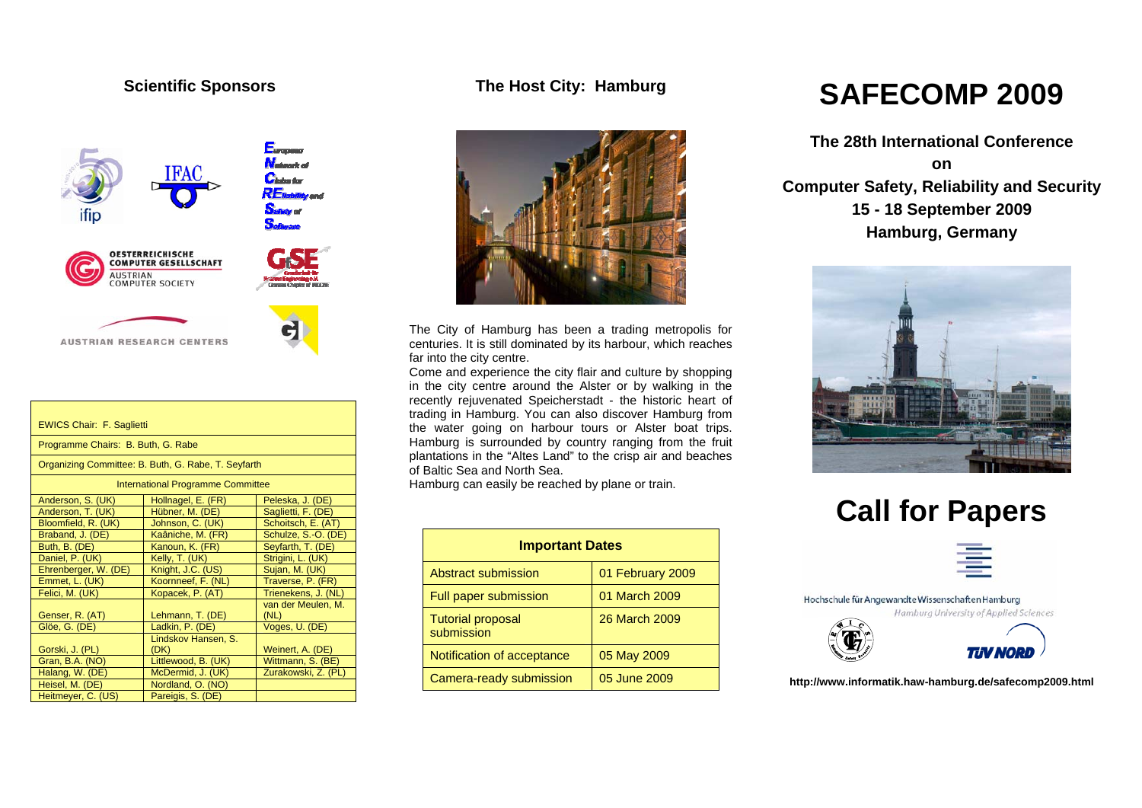## **Scientific Sponsors**



| <b>EWICS Chair: F. Saglietti</b>                    |                             |                            |  |
|-----------------------------------------------------|-----------------------------|----------------------------|--|
| Programme Chairs: B. Buth, G. Rabe                  |                             |                            |  |
| Organizing Committee: B. Buth, G. Rabe, T. Seyfarth |                             |                            |  |
| <b>International Programme Committee</b>            |                             |                            |  |
| Anderson, S. (UK)                                   | Hollnagel, E. (FR)          | Peleska, J. (DE)           |  |
| Anderson, T. (UK)                                   | Hübner, M. (DE)             | Saglietti, F. (DE)         |  |
| Bloomfield, R. (UK)                                 | Johnson, C. (UK)            | Schoitsch, E. (AT)         |  |
| Braband, J. (DE)                                    | Kaâniche, M. (FR)           | Schulze, S.-O. (DE)        |  |
| Buth, B. (DE)                                       | Kanoun, K. (FR)             | Seyfarth, T. (DE)          |  |
| Daniel, P. (UK)                                     | Kelly, T. (UK)              | Strigini, L. (UK)          |  |
| Ehrenberger, W. (DE)                                | Knight, J.C. (US)           | Sujan, M. (UK)             |  |
| Emmet, L. (UK)                                      | Koornneef, F. (NL)          | Traverse, P. (FR)          |  |
| Felici, M. (UK)                                     | Kopacek, P. (AT)            | Trienekens, J. (NL)        |  |
| Genser, R. (AT)                                     | Lehmann, T. (DE)            | van der Meulen, M.<br>(NL) |  |
| Glöe, G. (DE)                                       | Ladkin, P. (DE)             | Voges, U. (DE)             |  |
| Gorski, J. (PL)                                     | Lindskov Hansen, S.<br>(DK) | Weinert, A. (DE)           |  |
| Gran, B.A. (NO)                                     | Littlewood, B. (UK)         | Wittmann, S. (BE)          |  |
| Halang, W. (DE)                                     | McDermid, J. (UK)           | Zurakowski, Z. (PL)        |  |
| Heisel, M. (DE)                                     | Nordland, O. (NO)           |                            |  |
| Heitmeyer, C. (US)                                  | Pareigis, S. (DE)           |                            |  |

## **The Host City: Hamburg**



The City of Hamburg has been a trading metropolis for centuries. It is still dominated by its harbour, which reaches far into the city centre.

Come and experience the city flair and culture by shopping in the city centre around the Alster or by walking in the recently rejuvenated Speicherstadt - the historic heart of trading in Hamburg. You can also discover Hamburg from the water going on harbour tours or Alster boat trips. Hamburg is surrounded by country ranging from the fruit plantations in the "Altes Land" to the crisp air and beaches of Baltic Sea and North Sea.

Hamburg can easily be reached by plane or train.

| <b>Important Dates</b>                 |                  |  |
|----------------------------------------|------------------|--|
| Abstract submission                    | 01 February 2009 |  |
| Full paper submission                  | 01 March 2009    |  |
| <b>Tutorial proposal</b><br>submission | 26 March 2009    |  |
| Notification of acceptance             | 05 May 2009      |  |
| Camera-ready submission                | 05 June 2009     |  |

## **SAFECOMP 2009**

**The 28th International Conference on Computer Safety, Reliability and Security 15 - 18 September 2009 Hamburg, Germany** 



# **Call for Papers**



Hochschule für Angewandte Wissenschaften Hamburg





**http://www.informatik.haw-hamburg.de/safecomp2009.html**